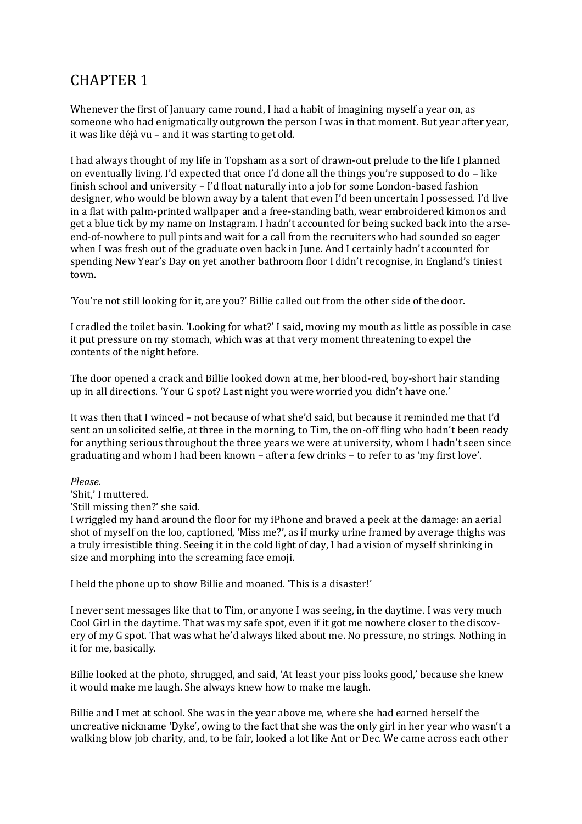## CHAPTER 1

Whenever the first of January came round, I had a habit of imagining myself a year on, as someone who had enigmatically outgrown the person I was in that moment. But year after year, it was like déjà vu – and it was starting to get old.

I had always thought of my life in Topsham as a sort of drawn-out prelude to the life I planned on eventually living. I'd expected that once I'd done all the things you're supposed to do – like finish school and university – I'd float naturally into a job for some London-based fashion designer, who would be blown away by a talent that even I'd been uncertain I possessed. I'd live in a flat with palm-printed wallpaper and a free-standing bath, wear embroidered kimonos and get a blue tick by my name on Instagram. I hadn't accounted for being sucked back into the arseend-of-nowhere to pull pints and wait for a call from the recruiters who had sounded so eager when I was fresh out of the graduate oven back in June. And I certainly hadn't accounted for spending New Year's Day on yet another bathroom floor I didn't recognise, in England's tiniest town.

'You're not still looking for it, are you?' Billie called out from the other side of the door.

I cradled the toilet basin. 'Looking for what?' I said, moving my mouth as little as possible in case it put pressure on my stomach, which was at that very moment threatening to expel the contents of the night before.

The door opened a crack and Billie looked down at me, her blood-red, boy-short hair standing up in all directions. 'Your G spot? Last night you were worried you didn't have one.'

It was then that I winced – not because of what she'd said, but because it reminded me that I'd sent an unsolicited selfie, at three in the morning, to Tim, the on-off fling who hadn't been ready for anything serious throughout the three years we were at university, whom I hadn't seen since graduating and whom I had been known – after a few drinks – to refer to as 'my first love'.

## *Please*.

'Shit,' I muttered.

'Still missing then?' she said.

I wriggled my hand around the floor for my iPhone and braved a peek at the damage: an aerial shot of myself on the loo, captioned, 'Miss me?', as if murky urine framed by average thighs was a truly irresistible thing. Seeing it in the cold light of day, I had a vision of myself shrinking in size and morphing into the screaming face emoji.

I held the phone up to show Billie and moaned. 'This is a disaster!'

I never sent messages like that to Tim, or anyone I was seeing, in the daytime. I was very much Cool Girl in the daytime. That was my safe spot, even if it got me nowhere closer to the discovery of my G spot. That was what he'd always liked about me. No pressure, no strings. Nothing in it for me, basically.

Billie looked at the photo, shrugged, and said, 'At least your piss looks good,' because she knew it would make me laugh. She always knew how to make me laugh.

Billie and I met at school. She was in the year above me, where she had earned herself the uncreative nickname 'Dyke', owing to the fact that she was the only girl in her year who wasn't a walking blow job charity, and, to be fair, looked a lot like Ant or Dec. We came across each other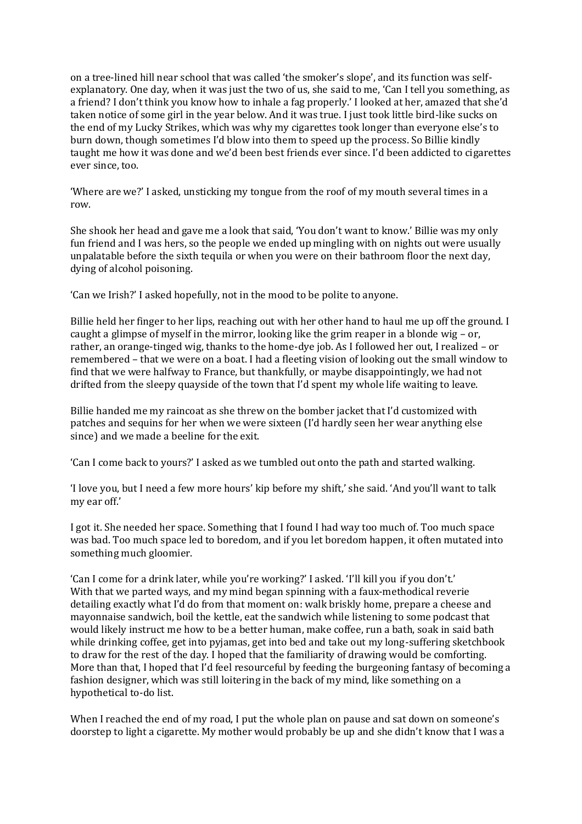on a tree-lined hill near school that was called 'the smoker's slope', and its function was selfexplanatory. One day, when it was just the two of us, she said to me, 'Can I tell you something, as a friend? I don't think you know how to inhale a fag properly.' I looked at her, amazed that she'd taken notice of some girl in the year below. And it was true. I just took little bird-like sucks on the end of my Lucky Strikes, which was why my cigarettes took longer than everyone else's to burn down, though sometimes I'd blow into them to speed up the process. So Billie kindly taught me how it was done and we'd been best friends ever since. I'd been addicted to cigarettes ever since, too.

'Where are we?' I asked, unsticking my tongue from the roof of my mouth several times in a row.

She shook her head and gave me a look that said, 'You don't want to know.' Billie was my only fun friend and I was hers, so the people we ended up mingling with on nights out were usually unpalatable before the sixth tequila or when you were on their bathroom floor the next day, dying of alcohol poisoning.

'Can we Irish?' I asked hopefully, not in the mood to be polite to anyone.

Billie held her finger to her lips, reaching out with her other hand to haul me up off the ground. I caught a glimpse of myself in the mirror, looking like the grim reaper in a blonde wig – or, rather, an orange-tinged wig, thanks to the home-dye job. As I followed her out, I realized – or remembered – that we were on a boat. I had a fleeting vision of looking out the small window to find that we were halfway to France, but thankfully, or maybe disappointingly, we had not drifted from the sleepy quayside of the town that I'd spent my whole life waiting to leave.

Billie handed me my raincoat as she threw on the bomber jacket that I'd customized with patches and sequins for her when we were sixteen (I'd hardly seen her wear anything else since) and we made a beeline for the exit.

'Can I come back to yours?' I asked as we tumbled out onto the path and started walking.

'I love you, but I need a few more hours' kip before my shift,' she said. 'And you'll want to talk my ear off.'

I got it. She needed her space. Something that I found I had way too much of. Too much space was bad. Too much space led to boredom, and if you let boredom happen, it often mutated into something much gloomier.

'Can I come for a drink later, while you're working?' I asked. 'I'll kill you if you don't.' With that we parted ways, and my mind began spinning with a faux-methodical reverie detailing exactly what I'd do from that moment on: walk briskly home, prepare a cheese and mayonnaise sandwich, boil the kettle, eat the sandwich while listening to some podcast that would likely instruct me how to be a better human, make coffee, run a bath, soak in said bath while drinking coffee, get into pyjamas, get into bed and take out my long-suffering sketchbook to draw for the rest of the day. I hoped that the familiarity of drawing would be comforting. More than that, I hoped that I'd feel resourceful by feeding the burgeoning fantasy of becoming a fashion designer, which was still loitering in the back of my mind, like something on a hypothetical to-do list.

When I reached the end of my road, I put the whole plan on pause and sat down on someone's doorstep to light a cigarette. My mother would probably be up and she didn't know that I was a